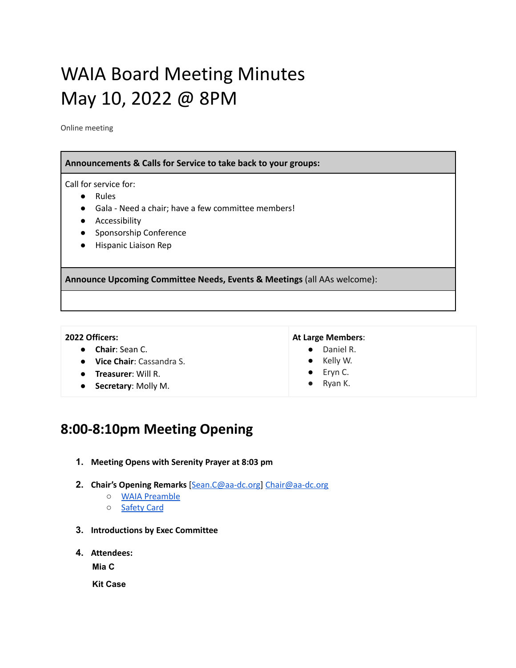# WAIA Board Meeting Minutes May 10, 2022 @ 8PM

Online meeting

| Announcements & Calls for Service to take back to your groups:                                                                                                                                                                  |  |  |  |  |  |  |
|---------------------------------------------------------------------------------------------------------------------------------------------------------------------------------------------------------------------------------|--|--|--|--|--|--|
| Call for service for:<br><b>Rules</b><br>$\bullet$<br>Gala - Need a chair; have a few committee members!<br>$\bullet$<br>Accessibility<br>$\bullet$<br>Sponsorship Conference<br>$\bullet$<br>Hispanic Liaison Rep<br>$\bullet$ |  |  |  |  |  |  |
| Announce Upcoming Committee Needs, Events & Meetings (all AAs welcome):                                                                                                                                                         |  |  |  |  |  |  |
|                                                                                                                                                                                                                                 |  |  |  |  |  |  |

#### **2022 Officers:**

- **Chair**: Sean C.
- **Vice Chair**: Cassandra S.
- **Treasurer**: Will R.
- **Secretary**: Molly M.

#### **At Large Members**:

- Daniel R.
- Kelly W.
- Eryn C.
- Ryan K.

# **8:00-8:10pm Meeting Opening**

- **1. Meeting Opens with Serenity Prayer at 8:03 pm**
- **2. Chair's Opening Remarks** [[Sean.C@aa-dc.org](mailto:Sean.C@aa-dc.org)] [Chair@aa-dc.org](mailto:Chair@aa-dc.org)
	- WAIA [Preamble](https://drive.google.com/file/d/1NH2Lhqi7DjJl1UAcjT0esLmpVoIn9RTa/view)
	- [Safety](https://www.aa.org/sites/default/files/literature/f-211_SafetyCardforAAGroups.pdf) Card
- **3. Introductions by Exec Committee**
- **4. Attendees:**

**Mia C**

**Kit Case**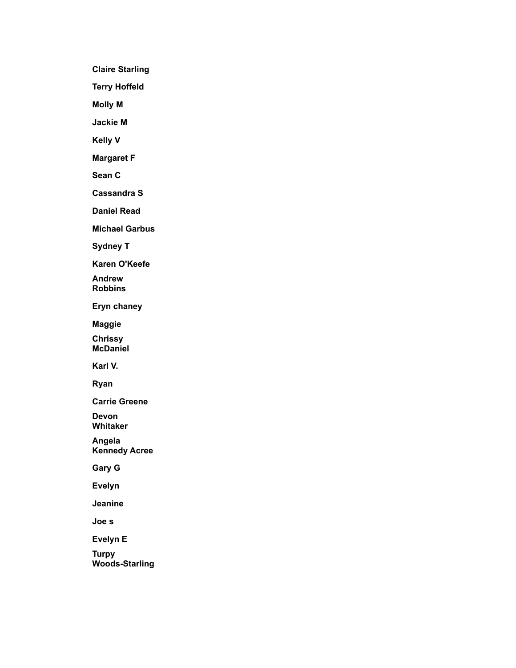**Claire Starling**

**Terry Hoffeld**

**Molly M**

**Jackie M**

**Kelly V**

**Margaret F**

**Sean C**

**Cassandra S**

**Daniel Read**

**Michael Garbus**

**Sydney T**

**Karen O'Keefe**

**Andrew Robbins**

**Eryn chaney**

**Maggie**

**Chrissy McDaniel**

**Karl V.**

**Ryan**

**Carrie Greene**

**Devon Whitaker**

**Angela Kennedy Acree**

**Gary G**

**Evelyn**

**Jeanine**

**Joe s**

**Evelyn E**

**Turpy Woods-Starling**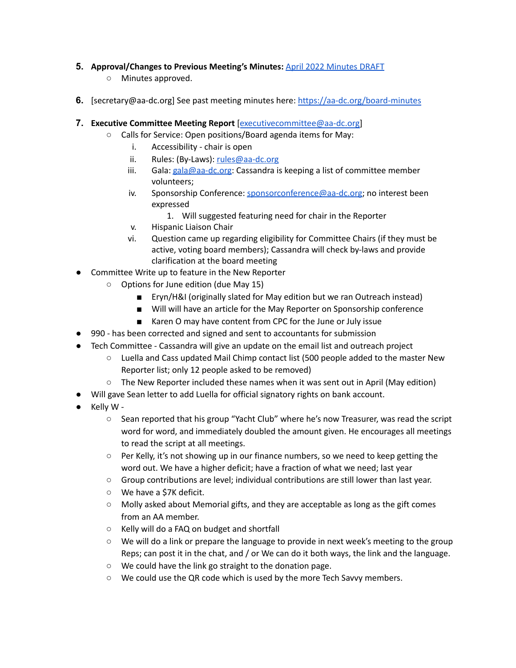## **5. Approval/Changes to Previous Meeting's Minutes:** April 2022 [Minutes](https://docs.google.com/document/d/1iADgV9NlItRhydnst8bnZPqYJ6lxMdFhIPGoYL9WqbU/edit) DRAFT

- Minutes approved.
- **6.** [secretary@aa-dc.org] See past meeting minutes here: <https://aa-dc.org/board-minutes>
- **7. Executive Committee Meeting Report** [[executivecommittee@aa-dc.org\]](mailto:mexecutivecommittee@aa-dc.org)
	- Calls for Service: Open positions/Board agenda items for May:
		- i. Accessibility chair is open
		- ii. Rules: (By-Laws): [rules@aa-dc.org](mailto:rules@aa-dc.org)
		- iii. Gala:  $\frac{gala@aa-dc.org}{C}$  $\frac{gala@aa-dc.org}{C}$  $\frac{gala@aa-dc.org}{C}$ : Cassandra is keeping a list of committee member volunteers;
		- iv. Sponsorship Conference: [sponsorconference@aa-dc.org](mailto:sponsorconference@aa-dc.org); no interest been expressed
			- 1. Will suggested featuring need for chair in the Reporter
		- v. Hispanic Liaison Chair
		- vi. Question came up regarding eligibility for Committee Chairs (if they must be active, voting board members); Cassandra will check by-laws and provide clarification at the board meeting
- Committee Write up to feature in the New Reporter
	- Options for June edition (due May 15)
		- Eryn/H&I (originally slated for May edition but we ran Outreach instead)
		- Will will have an article for the May Reporter on Sponsorship conference
		- Karen O may have content from CPC for the June or July issue
- 990 has been corrected and signed and sent to accountants for submission
- Tech Committee Cassandra will give an update on the email list and outreach project
	- Luella and Cass updated Mail Chimp contact list (500 people added to the master New Reporter list; only 12 people asked to be removed)
	- The New Reporter included these names when it was sent out in April (May edition)
- Will gave Sean letter to add Luella for official signatory rights on bank account.
- Kelly W
	- Sean reported that his group "Yacht Club" where he's now Treasurer, was read the script word for word, and immediately doubled the amount given. He encourages all meetings to read the script at all meetings.
	- $\circ$  Per Kelly, it's not showing up in our finance numbers, so we need to keep getting the word out. We have a higher deficit; have a fraction of what we need; last year
	- Group contributions are level; individual contributions are still lower than last year.
	- We have a \$7K deficit.
	- $\circ$  Molly asked about Memorial gifts, and they are acceptable as long as the gift comes from an AA member.
	- Kelly will do a FAQ on budget and shortfall
	- We will do a link or prepare the language to provide in next week's meeting to the group Reps; can post it in the chat, and / or We can do it both ways, the link and the language.
	- We could have the link go straight to the donation page.
	- We could use the QR code which is used by the more Tech Savvy members.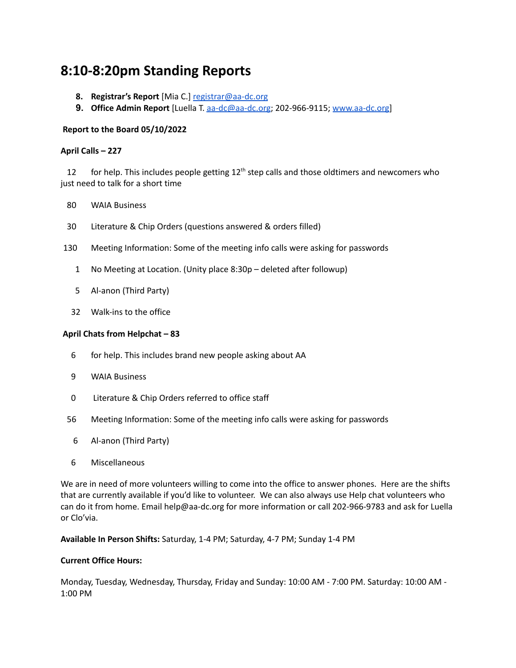# **8:10-8:20pm Standing Reports**

- **8. Registrar's Report** [Mia C.] [registrar@aa-dc.org](mailto:registrar@aa-dc.org)
- **9. Office Admin Report** [Luella T. [aa-dc@aa-dc.org](mailto:aa-dc@aa-dc.org); 202-966-9115; [www.aa-dc.org](http://www.aa-dc.org)]

#### **Report to the Board 05/10/2022**

#### **April Calls – 227**

12 for help. This includes people getting  $12<sup>th</sup>$  step calls and those oldtimers and newcomers who just need to talk for a short time

- 80 WAIA Business
- 30 Literature & Chip Orders (questions answered & orders filled)
- 130 Meeting Information: Some of the meeting info calls were asking for passwords
	- 1 No Meeting at Location. (Unity place 8:30p deleted after followup)
	- 5 Al-anon (Third Party)
	- 32 Walk-ins to the office

#### **April Chats from Helpchat – 83**

- 6 for help. This includes brand new people asking about AA
- 9 WAIA Business
- 0 Literature & Chip Orders referred to office staff
- 56 Meeting Information: Some of the meeting info calls were asking for passwords
	- 6 Al-anon (Third Party)
- 6 Miscellaneous

We are in need of more volunteers willing to come into the office to answer phones. Here are the shifts that are currently available if you'd like to volunteer. We can also always use Help chat volunteers who can do it from home. Email help@aa-dc.org for more information or call 202-966-9783 and ask for Luella or Clo'via.

**Available In Person Shifts:** Saturday, 1-4 PM; Saturday, 4-7 PM; Sunday 1-4 PM

#### **Current Office Hours:**

Monday, Tuesday, Wednesday, Thursday, Friday and Sunday: 10:00 AM - 7:00 PM. Saturday: 10:00 AM - 1:00 PM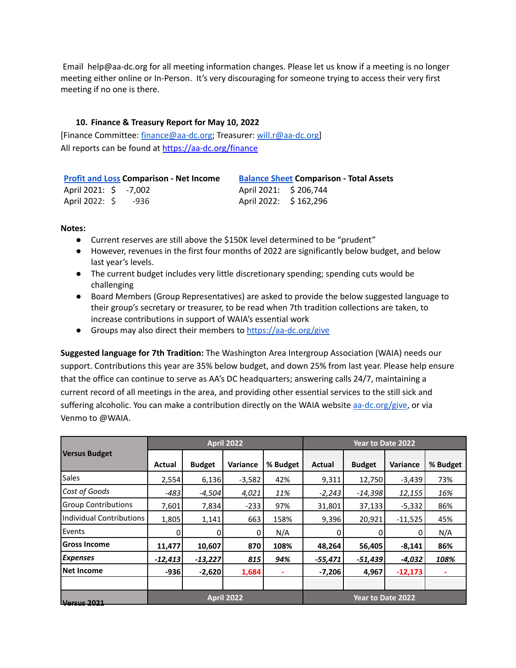Email help@aa-dc.org for all meeting information changes. Please let us know if a meeting is no longer meeting either online or In-Person. It's very discouraging for someone trying to access their very first meeting if no one is there.

#### **10. Finance & Treasury Report for May 10, 2022**

[Finance Committee: [finance@aa-dc.org;](mailto:finance@aa-dc.org) Treasurer: [will.r@aa-dc.org\]](mailto:will.r@aa-dc.org) All reports can be found at <https://aa-dc.org/finance>

| <b>Profit and Loss Comparison - Net Income</b> | <b>Balance Sheet Comparison - Total Assets</b> |  |  |  |  |
|------------------------------------------------|------------------------------------------------|--|--|--|--|
| April 2021: \$ -7,002                          | April 2021: \$206,744                          |  |  |  |  |
| April 2022: $\frac{1}{2}$ -936                 | April 2022: \$162,296                          |  |  |  |  |

#### **Notes:**

- Current reserves are still above the \$150K level determined to be "prudent"
- However, revenues in the first four months of 2022 are significantly below budget, and below last year's levels.
- The current budget includes very little discretionary spending; spending cuts would be challenging
- Board Members (Group Representatives) are asked to provide the below suggested language to their group's secretary or treasurer, to be read when 7th tradition collections are taken, to increase contributions in support of WAIA's essential work
- **•** Groups may also direct their members to <https://aa-dc.org/give>

**Suggested language for 7th Tradition:** The Washington Area Intergroup Association (WAIA) needs our support. Contributions this year are 35% below budget, and down 25% from last year. Please help ensure that the office can continue to serve as AA's DC headquarters; answering calls 24/7, maintaining a current record of all meetings in the area, and providing other essential services to the still sick and suffering alcoholic. You can make a contribution directly on the WAIA website [aa-dc.org](http://aa-dc.org/)/give, or via Venmo to @WAIA.

|                            | <b>April 2022</b> |               |          |          | Year to Date 2022 |                   |                 |          |
|----------------------------|-------------------|---------------|----------|----------|-------------------|-------------------|-----------------|----------|
| <b>Versus Budget</b>       | Actual            | <b>Budget</b> | Variance | % Budget | Actual            | <b>Budget</b>     | <b>Variance</b> | % Budget |
| <b>Sales</b>               | 2,554             | 6,136         | $-3,582$ | 42%      | 9,311             | 12,750            | $-3,439$        | 73%      |
| Cost of Goods              | $-483$            | $-4,504$      | 4,021    | 11%      | $-2,243$          | $-14,398$         | 12,155          | 16%      |
| <b>Group Contributions</b> | 7,601             | 7,834         | $-233$   | 97%      | 31,801            | 37,133            | $-5,332$        | 86%      |
| Individual Contributions   | 1,805             | 1,141         | 663      | 158%     | 9,396             | 20,921            | $-11,525$       | 45%      |
| Events                     |                   |               | 0        | N/A      |                   |                   | 0               | N/A      |
| <b>Gross Income</b>        | 11,477            | 10,607        | 870      | 108%     | 48,264            | 56,405            | $-8,141$        | 86%      |
| <b>Expenses</b>            | $-12,413$         | $-13,227$     | 815      | 94%      | $-55,471$         | $-51,439$         | $-4,032$        | 108%     |
| Net Income                 | -9361             | $-2,620$      | 1,684    | ٠        | $-7,206$          | 4,967             | $-12,173$       |          |
|                            |                   |               |          |          |                   |                   |                 |          |
| <b>Versus 2021</b>         | <b>April 2022</b> |               |          |          |                   | Year to Date 2022 |                 |          |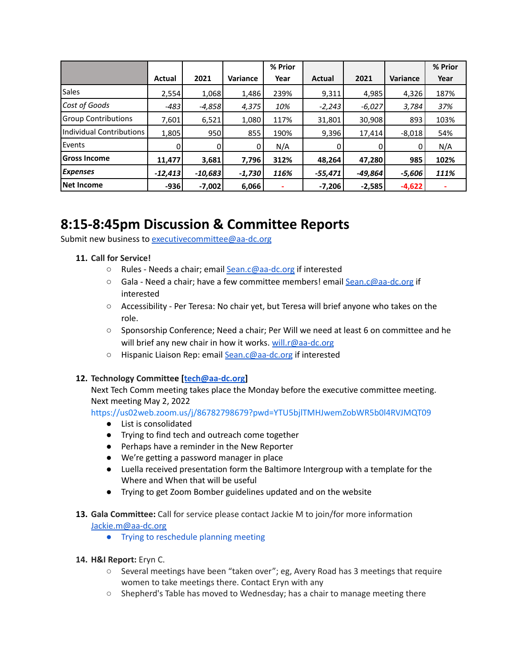|                            |               |           |                 | % Prior |           |           |          | % Prior |
|----------------------------|---------------|-----------|-----------------|---------|-----------|-----------|----------|---------|
|                            | <b>Actual</b> | 2021      | <b>Variance</b> | Year    | Actual    | 2021      | Variance | Year    |
| Sales                      | 2,554         | 1,068     | 1,486           | 239%    | 9,311     | 4,985     | 4,326    | 187%    |
| Cost of Goods              | $-483$        | $-4,858$  | 4,375           | 10%     | $-2,243$  | $-6,027$  | 3,784    | 37%     |
| <b>Group Contributions</b> | 7,601         | 6,521     | 1,080           | 117%    | 31,801    | 30,908    | 893      | 103%    |
| Individual Contributions   | 1,805         | 950       | 855             | 190%    | 9,396     | 17,414    | $-8,018$ | 54%     |
| Events                     | 0             |           | 0               | N/A     |           |           | 0        | N/A     |
| lGross Income              | 11,477        | 3,681     | 7,796           | 312%    | 48,264    | 47,280    | 985      | 102%    |
| <b>Expenses</b>            | $-12,413$     | $-10,683$ | $-1,730$        | 116%    | $-55,471$ | $-49,864$ | $-5,606$ | 111%    |
| Net Income                 | $-936$        | $-7,002$  | 6,066           |         | $-7,206$  | $-2,585$  | $-4,622$ |         |

# **8:15-8:45pm Discussion & Committee Reports**

Submit new business to [executivecommittee@aa-dc.org](mailto:executivecommittee@aa-dc.org)

#### **11. Call for Service!**

- Rules Needs a chair; email [Sean.c@aa-dc.org](mailto:Sean.c@aa-dc.org) if interested
- Gala Need a chair; have a few committee members! email [Sean.c@aa-dc.org](mailto:Sean.c@aa-dc.org) if interested
- Accessibility Per Teresa: No chair yet, but Teresa will brief anyone who takes on the role.
- Sponsorship Conference; Need a chair; Per Will we need at least 6 on committee and he will brief any new chair in how it works. [will.r@aa-dc.org](mailto:will.r@aa-dc.org)
- Hispanic Liaison Rep: email [Sean.c@aa-dc.org](mailto:Sean.c@aa-dc.org) if interested

#### **12. Technology Committee [[tech@aa-dc.org\]](mailto:tech@aa-dc.org)**

Next Tech Comm meeting takes place the Monday before the executive committee meeting. Next meeting May 2, 2022

<https://us02web.zoom.us/j/86782798679?pwd=YTU5bjlTMHJwemZobWR5b0l4RVJMQT09>

- List is consolidated
- Trying to find tech and outreach come together
- Perhaps have a reminder in the New Reporter
- We're getting a password manager in place
- Luella received presentation form the Baltimore Intergroup with a template for the Where and When that will be useful
- Trying to get Zoom Bomber guidelines updated and on the website
- **13. Gala Committee:** Call for service please contact Jackie M to join/for more information [Jackie.m@aa-dc.org](mailto:Jackie.m@aa-dc.org)
	- Trying to reschedule planning meeting

#### **14. H&I Report:** Eryn C.

- Several meetings have been "taken over"; eg, Avery Road has 3 meetings that require women to take meetings there. Contact Eryn with any
- Shepherd's Table has moved to Wednesday; has a chair to manage meeting there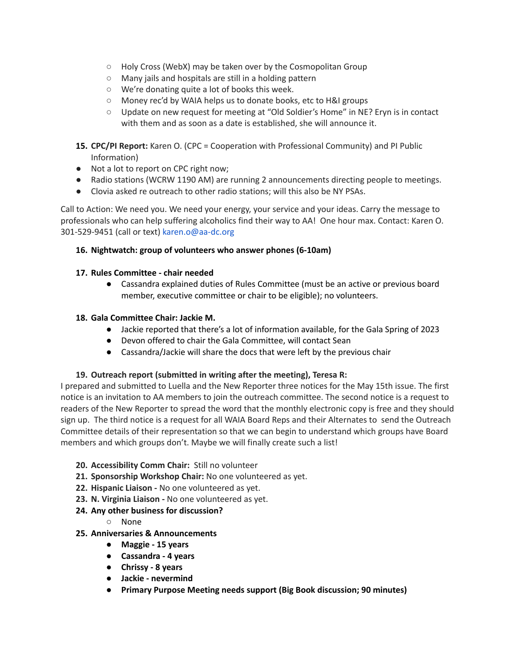- Holy Cross (WebX) may be taken over by the Cosmopolitan Group
- Many jails and hospitals are still in a holding pattern
- We're donating quite a lot of books this week.
- Money rec'd by WAIA helps us to donate books, etc to H&I groups
- Update on new request for meeting at "Old Soldier's Home" in NE? Eryn is in contact with them and as soon as a date is established, she will announce it.
- **15. CPC/PI Report:** Karen O. (CPC = Cooperation with Professional Community) and PI Public Information)
- Not a lot to report on CPC right now;
- Radio stations (WCRW 1190 AM) are running 2 announcements directing people to meetings.
- Clovia asked re outreach to other radio stations; will this also be NY PSAs.

Call to Action: We need you. We need your energy, your service and your ideas. Carry the message to professionals who can help suffering alcoholics find their way to AA! One hour max. Contact: Karen O. 301-529-9451 (call or text) karen.o@aa-dc.org

### **16. Nightwatch: group of volunteers who answer phones (6-10am)**

#### **17. Rules Committee - chair needed**

● Cassandra explained duties of Rules Committee (must be an active or previous board member, executive committee or chair to be eligible); no volunteers.

#### **18. Gala Committee Chair: Jackie M.**

- Jackie reported that there's a lot of information available, for the Gala Spring of 2023
- Devon offered to chair the Gala Committee, will contact Sean
- Cassandra/Jackie will share the docs that were left by the previous chair

### **19. Outreach report (submitted in writing after the meeting), Teresa R:**

I prepared and submitted to Luella and the New Reporter three notices for the May 15th issue. The first notice is an invitation to AA members to join the outreach committee. The second notice is a request to readers of the New Reporter to spread the word that the monthly electronic copy is free and they should sign up. The third notice is a request for all WAIA Board Reps and their Alternates to send the Outreach Committee details of their representation so that we can begin to understand which groups have Board members and which groups don't. Maybe we will finally create such a list!

- **20. Accessibility Comm Chair:** Still no volunteer
- **21. Sponsorship Workshop Chair:** No one volunteered as yet.
- **22. Hispanic Liaison -** No one volunteered as yet.
- **23. N. Virginia Liaison -** No one volunteered as yet.
- **24. Any other business for discussion?**
	- None
- **25. Anniversaries & Announcements**
	- **● Maggie - 15 years**
	- **● Cassandra - 4 years**
	- **● Chrissy - 8 years**
	- **● Jackie - nevermind**
	- **● Primary Purpose Meeting needs support (Big Book discussion; 90 minutes)**